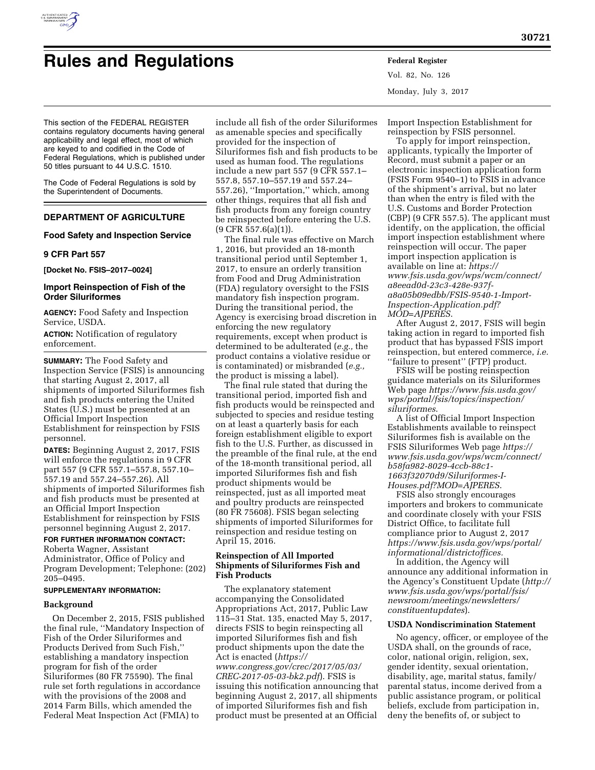

# **Rules and Regulations Federal Register**

Vol. 82, No. 126 Monday, July 3, 2017

This section of the FEDERAL REGISTER contains regulatory documents having general applicability and legal effect, most of which are keyed to and codified in the Code of Federal Regulations, which is published under 50 titles pursuant to 44 U.S.C. 1510.

The Code of Federal Regulations is sold by the Superintendent of Documents.

# **DEPARTMENT OF AGRICULTURE**

## **Food Safety and Inspection Service**

#### **9 CFR Part 557**

**[Docket No. FSIS–2017–0024]** 

# **Import Reinspection of Fish of the Order Siluriformes**

**AGENCY:** Food Safety and Inspection Service, USDA.

**ACTION:** Notification of regulatory enforcement.

**SUMMARY:** The Food Safety and Inspection Service (FSIS) is announcing that starting August 2, 2017, all shipments of imported Siluriformes fish and fish products entering the United States (U.S.) must be presented at an Official Import Inspection Establishment for reinspection by FSIS personnel.

**DATES:** Beginning August 2, 2017, FSIS will enforce the regulations in 9 CFR part 557 (9 CFR 557.1–557.8, 557.10– 557.19 and 557.24–557.26). All shipments of imported Siluriformes fish and fish products must be presented at an Official Import Inspection Establishment for reinspection by FSIS personnel beginning August 2, 2017.

# **FOR FURTHER INFORMATION CONTACT:**

Roberta Wagner, Assistant Administrator, Office of Policy and Program Development; Telephone: (202) 205–0495.

#### **SUPPLEMENTARY INFORMATION:**

## **Background**

On December 2, 2015, FSIS published the final rule, ''Mandatory Inspection of Fish of the Order Siluriformes and Products Derived from Such Fish,'' establishing a mandatory inspection program for fish of the order Siluriformes (80 FR 75590). The final rule set forth regulations in accordance with the provisions of the 2008 and 2014 Farm Bills, which amended the Federal Meat Inspection Act (FMIA) to

include all fish of the order Siluriformes as amenable species and specifically provided for the inspection of Siluriformes fish and fish products to be used as human food. The regulations include a new part 557 (9 CFR 557.1– 557.8, 557.10–557.19 and 557.24– 557.26), ''Importation,'' which, among other things, requires that all fish and fish products from any foreign country be reinspected before entering the U.S.  $(9$  CFR 557.6(a)(1)).

The final rule was effective on March 1, 2016, but provided an 18-month transitional period until September 1, 2017, to ensure an orderly transition from Food and Drug Administration (FDA) regulatory oversight to the FSIS mandatory fish inspection program. During the transitional period, the Agency is exercising broad discretion in enforcing the new regulatory requirements, except when product is determined to be adulterated (*e.g.,* the product contains a violative residue or is contaminated) or misbranded (*e.g.,*  the product is missing a label).

The final rule stated that during the transitional period, imported fish and fish products would be reinspected and subjected to species and residue testing on at least a quarterly basis for each foreign establishment eligible to export fish to the U.S. Further, as discussed in the preamble of the final rule, at the end of the 18-month transitional period, all imported Siluriformes fish and fish product shipments would be reinspected, just as all imported meat and poultry products are reinspected (80 FR 75608). FSIS began selecting shipments of imported Siluriformes for reinspection and residue testing on April 15, 2016.

#### **Reinspection of All Imported Shipments of Siluriformes Fish and Fish Products**

The explanatory statement accompanying the Consolidated Appropriations Act, 2017, Public Law 115–31 Stat. 135, enacted May 5, 2017, directs FSIS to begin reinspecting all imported Siluriformes fish and fish product shipments upon the date the Act is enacted (*[https://](https://www.congress.gov/crec/2017/05/03/CREC-2017-05-03-bk2.pdf)*

*[www.congress.gov/crec/2017/05/03/](https://www.congress.gov/crec/2017/05/03/CREC-2017-05-03-bk2.pdf)  [CREC-2017-05-03-bk2.pdf](https://www.congress.gov/crec/2017/05/03/CREC-2017-05-03-bk2.pdf)*). FSIS is issuing this notification announcing that beginning August 2, 2017, all shipments of imported Siluriformes fish and fish product must be presented at an Official

Import Inspection Establishment for reinspection by FSIS personnel.

To apply for import reinspection, applicants, typically the Importer of Record, must submit a paper or an electronic inspection application form (FSIS Form 9540–1) to FSIS in advance of the shipment's arrival, but no later than when the entry is filed with the U.S. Customs and Border Protection (CBP) (9 CFR 557.5). The applicant must identify, on the application, the official import inspection establishment where reinspection will occur. The paper import inspection application is available on line at: *[https://](https://www.fsis.usda.gov/wps/wcm/connect/a8eead0d-23c3-428e-937f-a8a05b09edbb/FSIS-9540-1-Import-Inspection-Application.pdf?MOD=AJPERES) [www.fsis.usda.gov/wps/wcm/connect/](https://www.fsis.usda.gov/wps/wcm/connect/a8eead0d-23c3-428e-937f-a8a05b09edbb/FSIS-9540-1-Import-Inspection-Application.pdf?MOD=AJPERES) [a8eead0d-23c3-428e-937f](https://www.fsis.usda.gov/wps/wcm/connect/a8eead0d-23c3-428e-937f-a8a05b09edbb/FSIS-9540-1-Import-Inspection-Application.pdf?MOD=AJPERES)[a8a05b09edbb/FSIS-9540-1-Import-](https://www.fsis.usda.gov/wps/wcm/connect/a8eead0d-23c3-428e-937f-a8a05b09edbb/FSIS-9540-1-Import-Inspection-Application.pdf?MOD=AJPERES)[Inspection-Application.pdf?](https://www.fsis.usda.gov/wps/wcm/connect/a8eead0d-23c3-428e-937f-a8a05b09edbb/FSIS-9540-1-Import-Inspection-Application.pdf?MOD=AJPERES) [MOD=AJPERES](https://www.fsis.usda.gov/wps/wcm/connect/a8eead0d-23c3-428e-937f-a8a05b09edbb/FSIS-9540-1-Import-Inspection-Application.pdf?MOD=AJPERES)*.

After August 2, 2017, FSIS will begin taking action in regard to imported fish product that has bypassed FSIS import reinspection, but entered commerce, *i.e.*  ''failure to present'' (FTP) product.

FSIS will be posting reinspection guidance materials on its Siluriformes Web page *[https://www.fsis.usda.gov/](https://www.fsis.usda.gov/wps/portal/fsis/topics/inspection/siluriformes) [wps/portal/fsis/topics/inspection/](https://www.fsis.usda.gov/wps/portal/fsis/topics/inspection/siluriformes) [siluriformes](https://www.fsis.usda.gov/wps/portal/fsis/topics/inspection/siluriformes)*.

A list of Official Import Inspection Establishments available to reinspect Siluriformes fish is available on the FSIS Siluriformes Web page *[https://](https://www.fsis.usda.gov/wps/wcm/connect/b58fa982-8029-4ccb-88c1-1663f32070d9/Siluriformes-I-Houses.pdf?MOD=AJPERES) [www.fsis.usda.gov/wps/wcm/connect/](https://www.fsis.usda.gov/wps/wcm/connect/b58fa982-8029-4ccb-88c1-1663f32070d9/Siluriformes-I-Houses.pdf?MOD=AJPERES) [b58fa982-8029-4ccb-88c1-](https://www.fsis.usda.gov/wps/wcm/connect/b58fa982-8029-4ccb-88c1-1663f32070d9/Siluriformes-I-Houses.pdf?MOD=AJPERES)  [1663f32070d9/Siluriformes-I-](https://www.fsis.usda.gov/wps/wcm/connect/b58fa982-8029-4ccb-88c1-1663f32070d9/Siluriformes-I-Houses.pdf?MOD=AJPERES)[Houses.pdf?MOD=AJPERES](https://www.fsis.usda.gov/wps/wcm/connect/b58fa982-8029-4ccb-88c1-1663f32070d9/Siluriformes-I-Houses.pdf?MOD=AJPERES)*.

FSIS also strongly encourages importers and brokers to communicate and coordinate closely with your FSIS District Office, to facilitate full compliance prior to August 2, 2017 *[https://www.fsis.usda.gov/wps/portal/](https://www.fsis.usda.gov/wps/portal/informational/districtoffices) [informational/districtoffices.](https://www.fsis.usda.gov/wps/portal/informational/districtoffices)* 

In addition, the Agency will announce any additional information in the Agency's Constituent Update (*[http://](http://www.fsis.usda.gov/wps/portal/fsis/newsroom/meetings/newsletters/constituentupdates)  [www.fsis.usda.gov/wps/portal/fsis/](http://www.fsis.usda.gov/wps/portal/fsis/newsroom/meetings/newsletters/constituentupdates) [newsroom/meetings/newsletters/](http://www.fsis.usda.gov/wps/portal/fsis/newsroom/meetings/newsletters/constituentupdates)  [constituentupdates](http://www.fsis.usda.gov/wps/portal/fsis/newsroom/meetings/newsletters/constituentupdates)*).

#### **USDA Nondiscrimination Statement**

No agency, officer, or employee of the USDA shall, on the grounds of race, color, national origin, religion, sex, gender identity, sexual orientation, disability, age, marital status, family/ parental status, income derived from a public assistance program, or political beliefs, exclude from participation in, deny the benefits of, or subject to